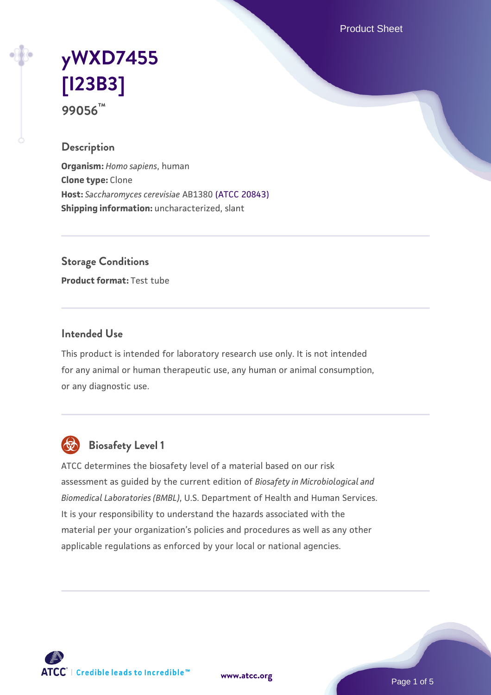Product Sheet

# **[yWXD7455](https://www.atcc.org/products/99056) [\[I23B3\]](https://www.atcc.org/products/99056) 99056™**

### **Description**

**Organism:** *Homo sapiens*, human **Clone type:** Clone **Host:** *Saccharomyces cerevisiae* AB1380 [\(ATCC 20843\)](https://www.atcc.org/products/20843) **Shipping information:** uncharacterized, slant

**Storage Conditions**

**Product format:** Test tube

#### **Intended Use**

This product is intended for laboratory research use only. It is not intended for any animal or human therapeutic use, any human or animal consumption, or any diagnostic use.



## **Biosafety Level 1**

ATCC determines the biosafety level of a material based on our risk assessment as guided by the current edition of *Biosafety in Microbiological and Biomedical Laboratories (BMBL)*, U.S. Department of Health and Human Services. It is your responsibility to understand the hazards associated with the material per your organization's policies and procedures as well as any other applicable regulations as enforced by your local or national agencies.

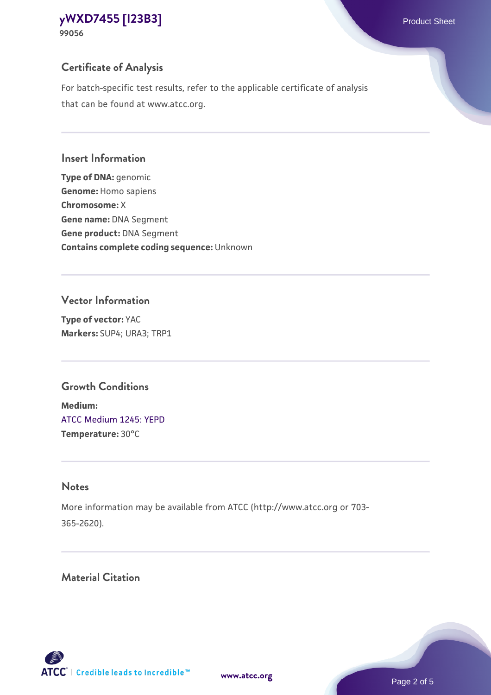## **Certificate of Analysis**

For batch-specific test results, refer to the applicable certificate of analysis that can be found at www.atcc.org.

#### **Insert Information**

**Type of DNA:** genomic **Genome:** Homo sapiens **Chromosome:** X **Gene name:** DNA Segment **Gene product:** DNA Segment **Contains complete coding sequence:** Unknown

#### **Vector Information**

**Type of vector:** YAC **Markers:** SUP4; URA3; TRP1

## **Growth Conditions**

**Medium:**  [ATCC Medium 1245: YEPD](https://www.atcc.org/-/media/product-assets/documents/microbial-media-formulations/1/2/4/5/atcc-medium-1245.pdf?rev=705ca55d1b6f490a808a965d5c072196) **Temperature:** 30°C

### **Notes**

More information may be available from ATCC (http://www.atcc.org or 703- 365-2620).

## **Material Citation**

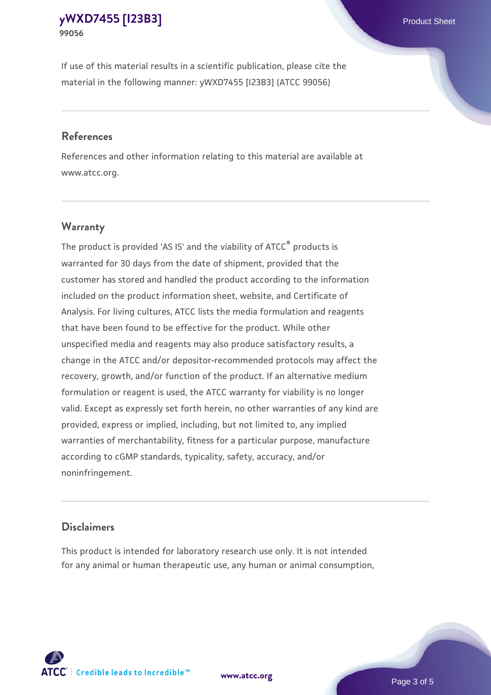If use of this material results in a scientific publication, please cite the material in the following manner: yWXD7455 [I23B3] (ATCC 99056)

#### **References**

References and other information relating to this material are available at www.atcc.org.

#### **Warranty**

The product is provided 'AS IS' and the viability of  $ATCC<sup>®</sup>$  products is warranted for 30 days from the date of shipment, provided that the customer has stored and handled the product according to the information included on the product information sheet, website, and Certificate of Analysis. For living cultures, ATCC lists the media formulation and reagents that have been found to be effective for the product. While other unspecified media and reagents may also produce satisfactory results, a change in the ATCC and/or depositor-recommended protocols may affect the recovery, growth, and/or function of the product. If an alternative medium formulation or reagent is used, the ATCC warranty for viability is no longer valid. Except as expressly set forth herein, no other warranties of any kind are provided, express or implied, including, but not limited to, any implied warranties of merchantability, fitness for a particular purpose, manufacture according to cGMP standards, typicality, safety, accuracy, and/or noninfringement.

#### **Disclaimers**

This product is intended for laboratory research use only. It is not intended for any animal or human therapeutic use, any human or animal consumption,

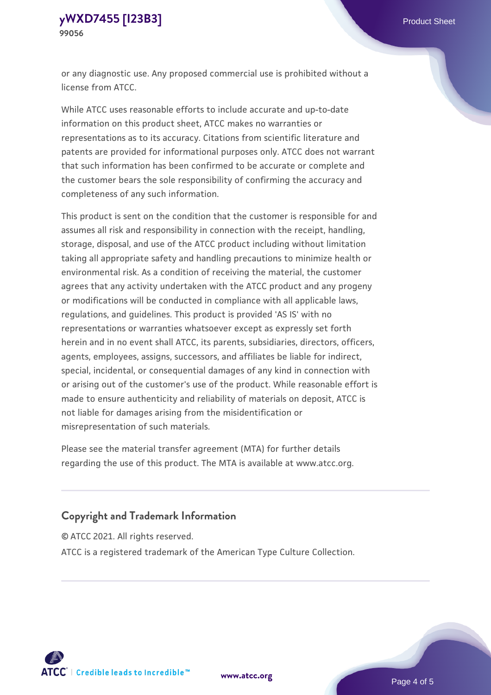or any diagnostic use. Any proposed commercial use is prohibited without a license from ATCC.

While ATCC uses reasonable efforts to include accurate and up-to-date information on this product sheet, ATCC makes no warranties or representations as to its accuracy. Citations from scientific literature and patents are provided for informational purposes only. ATCC does not warrant that such information has been confirmed to be accurate or complete and the customer bears the sole responsibility of confirming the accuracy and completeness of any such information.

This product is sent on the condition that the customer is responsible for and assumes all risk and responsibility in connection with the receipt, handling, storage, disposal, and use of the ATCC product including without limitation taking all appropriate safety and handling precautions to minimize health or environmental risk. As a condition of receiving the material, the customer agrees that any activity undertaken with the ATCC product and any progeny or modifications will be conducted in compliance with all applicable laws, regulations, and guidelines. This product is provided 'AS IS' with no representations or warranties whatsoever except as expressly set forth herein and in no event shall ATCC, its parents, subsidiaries, directors, officers, agents, employees, assigns, successors, and affiliates be liable for indirect, special, incidental, or consequential damages of any kind in connection with or arising out of the customer's use of the product. While reasonable effort is made to ensure authenticity and reliability of materials on deposit, ATCC is not liable for damages arising from the misidentification or misrepresentation of such materials.

Please see the material transfer agreement (MTA) for further details regarding the use of this product. The MTA is available at www.atcc.org.

#### **Copyright and Trademark Information**

© ATCC 2021. All rights reserved.

ATCC is a registered trademark of the American Type Culture Collection.



**[www.atcc.org](http://www.atcc.org)**

Page 4 of 5